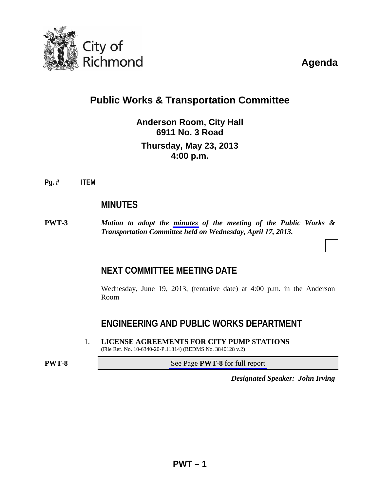

# **Public Works & Transportation Committee**

**Anderson Room, City Hall 6911 No. 3 Road Thursday, May 23, 2013 4:00 p.m.**

**Pg. # ITEM**

# **MINUTES**

**PWT-3** *Motion to adopt the [minutes](#page-2-0) of the meeting of the Public Works & Transportation Committee held on Wednesday, April 17, 2013.* 

# **NEXT COMMITTEE MEETING DATE**

 Wednesday, June 19, 2013, (tentative date) at 4:00 p.m. in the Anderson Room

# **ENGINEERING AND PUBLIC WORKS DEPARTMENT**

1. **LICENSE AGREEMENTS FOR CITY PUMP STATIONS**  (File Ref. No. 10-6340-20-P.11314) (REDMS No. 3840128 v.2)

**PWT-8** See Page **PWT-8** for full report

*Designated Speaker: John Irving*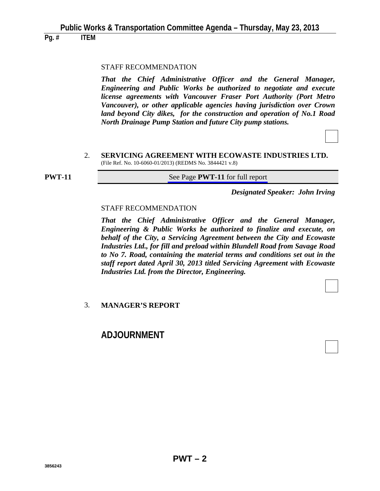**Pg. # ITEM**

#### STAFF RECOMMENDATION

 *That the Chief Administrative Officer and the General Manager, Engineering and Public Works be authorized to negotiate and execute license agreements with Vancouver Fraser Port Authority (Port Metro Vancouver), or other applicable agencies having jurisdiction over Crown land beyond City dikes, for the construction and operation of No.1 Road North Drainage Pump Station and future City pump stations.* 

#### 2. **SERVICING AGREEMENT WITH ECOWASTE INDUSTRIES LTD.**  (File Ref. No. 10-6060-01/2013) (REDMS No. 3844421 v.8)

**PWT-11** See Page **PWT-11** for full report

*Designated Speaker: John Irving*

#### STAFF RECOMMENDATION

 *That the Chief Administrative Officer and the General Manager, Engineering & Public Works be authorized to finalize and execute, on behalf of the City, a Servicing Agreement between the City and Ecowaste Industries Ltd., for fill and preload within Blundell Road from Savage Road to No 7. Road, containing the material terms and conditions set out in the staff report dated April 30, 2013 titled Servicing Agreement with Ecowaste Industries Ltd. from the Director, Engineering.* 

#### 3. **MANAGER'S REPORT**

# **ADJOURNMENT**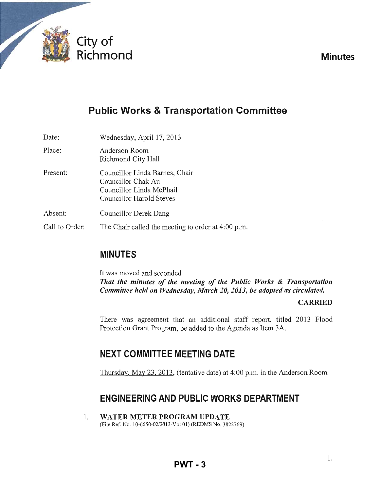<span id="page-2-0"></span>

# **Minutes**

# **Public Works & Transportation Committee**

| Date:          | Wednesday, April 17, 2013                                                                                    |
|----------------|--------------------------------------------------------------------------------------------------------------|
| Place:         | Anderson Room<br>Richmond City Hall                                                                          |
| Present:       | Councillor Linda Barnes, Chair<br>Councillor Chak Au<br>Councillor Linda McPhail<br>Councillor Harold Steves |
| Absent:        | Councillor Derek Dang                                                                                        |
| Call to Order: | The Chair called the meeting to order at 4:00 p.m.                                                           |

# **MINUTES**

It was moved and seconded *That the minutes of the meeting of the Public Works* & *Transportation Committee held on Wednesday, March 20, 2013, be adopted as circulated.* 

# CARRIED

There was agreement that an additional staff report, titled 2013 Flood Protection Grant Program, be added to the Agenda as Item 3A.

# **NEXT COMMITTEE MEETING DATE**

Thursday, May 23, 2013, (tentative date) at 4:00 p.m. in the Anderson Room

# **ENGINEERING AND PUBLIC WORKS DEPARTMENT**

1. WATER METER PROGRAM UPDATE (File Ref. No. 1O-6650-02/2013-Vol 01) (REDMS No. 3822769)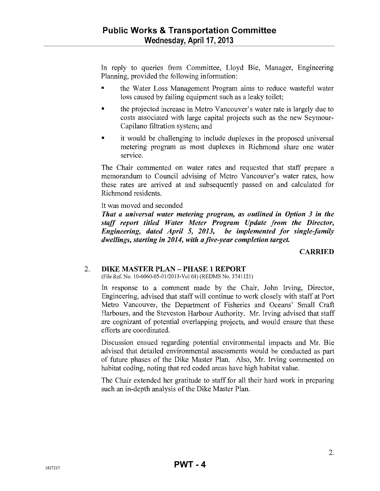In reply to queries from Committee, Lloyd Bie, Manager, Engineering Planning, provided the following information:

- the Water Loss Management Program aims to reduce wasteful water loss caused by failing equipment such as a leaky toilet;
- the projected increase in Metro Vancouver's water rate is largely due to costs associated with large capital projects such as the new Seymour-Capilano filtration system; and
- it would be challenging to include duplexes in the proposed universal metering program as most duplexes in Richmond share one water service.

The Chair commented on water rates and requested that staff prepare a memorandum to Council advising of Metro Vancouver's water rates, how these rates are arrived at and subsequently passed on and calculated for Richmond residents.

It was moved and seconded

*That a universal water metering program, as outlined in Option* 3 *in the staff report titled Water Meter Program Update from the Director, Engineering, dated April* 5, *2013, be implemented for single-family dwellings, starting in 2014, with afive-year completion target.* 

#### **CARRIED**

#### 2. DIKE MASTER PLAN - PHASE 1 REPORT

(File Ref. No. *10-6060-05-01/2013-Vol* 01) (REDMS No. 3741121)

In response to a comment made by the Chair, John Irving, Director, Engineering, advised that staff will continue to work closely with staff at Port Metro Vancouver, the Department of Fisheries and Oceans' Small Craft Harbours, and the Steveston Harbour Authority. Mr. Irving advised that staff are cognizant of potential overlapping projects, and would ensure that these efforts are coordinated.

Discussion ensued regarding potential environmental impacts and Mr. Bie advised that detailed environmental assessments would be conducted as part of future phases of the Dike Master Plan. Also, Mr. Irving commented on habitat coding, noting that red coded areas have high habitat value.

The Chair extended her gratitude to staff for all their hard work in preparing such an in-depth analysis of the Dike Master Plan.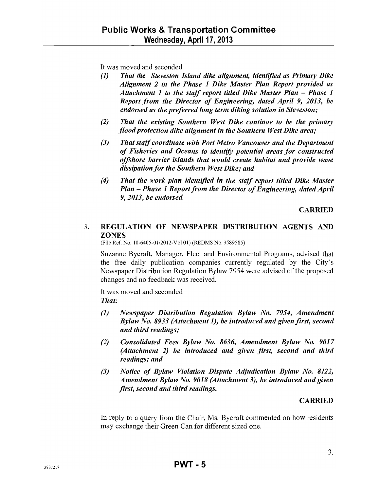It was moved and seconded

- *(1) That the Steveston Island dike alignment, identified as Primary Dike Alignment* 2 *in the Phase* 1 *Dike Master Plan Report provided as*  Attachment 1 to the staff report titled Dike Master Plan - Phase 1 *Report from the Director of Engineering, dated April* 9, *2013, be endorsed as the preferred long term diking solution in Steveston;*
- *(2) That the existing Southern West Dike continue to be the primary flood protection dike alignment in the Southern West Dike area;*
- *(3) That staff coordinate with Port Metro Vancouver and the Department of Fisheries and Oceans to identify potential areas for constructed offshore barrier islands that would create habitat and provide wave dissipation for the Southern West Dike; and*
- *(4) That the work plan identified in the staff report titled Dike Master Plan* - *Phase* 1 *Report from the Director of Engineering, dated April 9, 2013, be endorsed.*

**CARRIED** 

# 3. REGULATION OF NEWSPAPER DISTRIBUTION AGENTS AND ZONES

(File Ref. No. 10-6405-01/2012-Vol 01) (REDMS No. 3589585)

Suzanne Bycraft, Manager, Fleet and Environmental Programs, advised that the free daily publication companies currently regulated by the City's Newspaper Distribution Regulation Bylaw 7954 were advised of the proposed changes and no feedback was received.

It was moved and seconded

*That:* 

- *(1) Newspaper Distribution Regulation Bylaw No.* 7954, *Amendment Bylaw No.* 8933 *(Attachment* 1), *be introduced and given first, second and third readings;*
- *(2) Consolidated Fees Bylaw No.* 8636, *Amendment Bylaw No. 9017 (Attachment* 2) *be introduced and given first, second and third readings; and*
- *(3) Notice of Bylaw Violation Dispute Adjudication Bylaw No. 8122, Amendment Bylaw No. 9018 (Attachment* 3), *be introduced and given first, second and third readings.*

# CARRIED

In reply to a query from the Chair, Ms. Bycraft commented on how residents may exchange their Green Can for different sized one.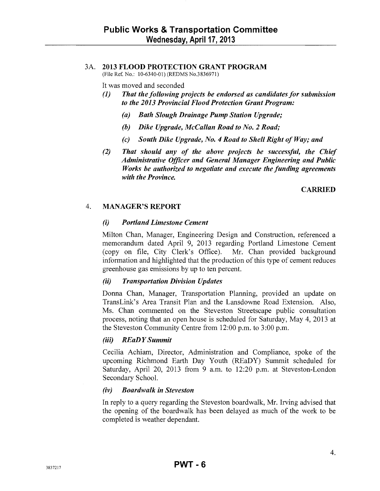#### 3A. 2013 FLOOD PROTECTION GRANT PROGRAM

(File Ref. No.: 10-6340-01) (REDMS No.3836971)

It was moved and seconded

- *(1) That the following projects be endorsed as candidates for submission to the 2013 Provincial Flood Protection Grant Program:* 
	- *(a) Bath Slough Drainage Pump Station Upgrade;*
	- *(b) Dike Upgrade, McCallan Road to No.2 Road;*
	- *(c) South Dike Upgrade, No.4 Road to Shell Right of Way; and*
- *(2) That should any of the above projects be successful, the Chief Administrative Officer and General Manager Engineering and Public Works be authorized to negotiate and execute the funding agreements with the Province.*

# CARRIED

#### 4. MANAGER'S REPORT

#### *(i) Portland Limestone Cement*

Milton Chan, Manager, Engineering Design and Construction, referenced a memorandum dated April 9, 2013 regarding Portland Limestone Cement (copy on file, City Clerk's Office). Mr. Chan provided background information and highlighted that the production of this type of cement reduces greenhouse gas emissions by up to ten percent.

#### *(ii) Transportation Division Updates*

Donna Chan, Manager, Transportation Planning, provided an update on TransLink's Area Transit Plan and the Lansdowne Road Extension. Also, Ms. Chan commented on the Steveston Streetscape public consultation process, noting that an open house is scheduled for Saturday, May 4, 2013 at the Steveston Community Centre from 12:00 p.m. to 3 :00 p.m.

#### *(iii) REaD Y Summit*

Cecilia Achiam, Director, Administration and Compliance, spoke of the upcoming Richmond Earth Day Youth (REaDY) Summit scheduled for Saturday, April 20, 2013 from 9 a.m. to 12:20 p.m. at Steveston-London Secondary School.

#### *(iv) Boardwalk in Steveston*

In reply to a query regarding the Steveston boardwalk, Mr. Irving advised that the opening of the boardwalk has been delayed as much of the work to be completed is weather dependant.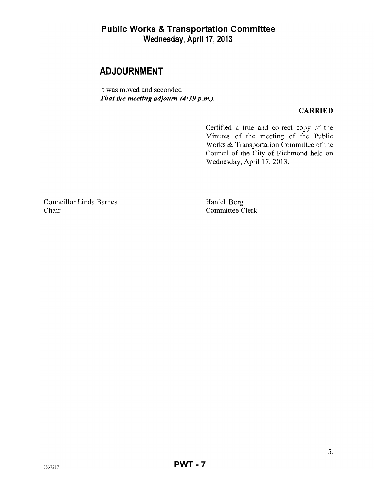# **ADJOURNMENT**

It was moved and seconded *That the meeting adjourn* **(4:39** *p.m.).* 

### **CARRIED**

Certified a true and correct copy of the Minutes of the meeting of the Public Works & Transportation Committee of the Council of the City of Richmond held on Wednesday, April 17, 2013.

Councillor Linda Barnes Chair

Hanieh Berg Committee Clerk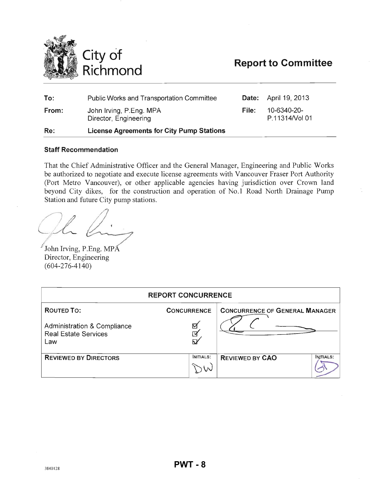<span id="page-7-0"></span>

# **Report to Committee**

| To:   | <b>Public Works and Transportation Committee</b> |       | <b>Date:</b> April 19, 2013   |
|-------|--------------------------------------------------|-------|-------------------------------|
| From: | John Irving, P.Eng. MPA<br>Director, Engineering | File: | 10-6340-20-<br>P.11314/Vol 01 |
| Re:   | <b>License Agreements for City Pump Stations</b> |       |                               |

#### Staff Recommendation

That the Chief Administrative Officer and the General Manager, Engineering and Public Works be authorized to negotiate and execute license agreements with Vancouver Fraser Port Authority (Port Metro Vancouver), or other applicable agencies having jurisdiction over Crown land beyond City dikes, for the construction and operation of No.1 Road North Drainage Pump Station and future City pump stations.

OL !

 John Irving, P.Eng. MPA Director, Engineering (604-276-4140)

| <b>REPORT CONCURRENCE</b>                                                    |                    |                                       |  |  |  |
|------------------------------------------------------------------------------|--------------------|---------------------------------------|--|--|--|
| <b>ROUTED TO:</b>                                                            | <b>CONCURRENCE</b> | <b>CONCURRENCE OF GENERAL MANAGER</b> |  |  |  |
| <b>Administration &amp; Compliance</b><br><b>Real Estate Services</b><br>Law | ☑<br>⊡<br>ស        |                                       |  |  |  |
| <b>REVIEWED BY DIRECTORS</b>                                                 | <b>INITIALS:</b>   | <b>REVIEWED BY CAO</b><br>INITIALS:   |  |  |  |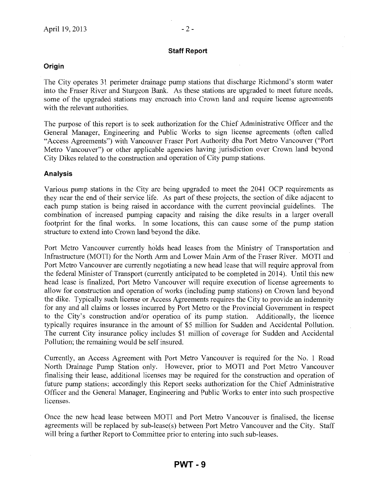#### **Staff Report**

### **Origin**

The City operates 31 perimeter drainage pump stations that discharge Richmond's storm water into the Fraser River and Sturgeon Bank. As these stations are upgraded to meet future needs, some of the upgraded stations may encroach into Crown land and require license agreements with the relevant authorities.

The purpose of this report is to seek authorization for the Chief Administrative Officer and the General Manager, Engineering and Public Works to sign license agreements (often called "Access Agreements") with Vancouver Fraser Port Authority dba Port Metro Vancouver ("Port Metro Vancouver") or other applicable agencies having jurisdiction over Crown land beyond City Dikes related to the construction and operation of City pump stations.

#### **Analysis**

Various pump stations in the City are being upgraded to meet the 2041 OCP requirements as they near the end of their service life. As part of these projects, the section of dike adjacent to each pump station is being raised in accordance with the current provincial guidelines. The combination of increased pumping capacity and raising the dike results in a larger overall footprint for the final works. In some locations, this can cause some of the pump station structure to extend into Crown land beyond the dike.

Port Metro Vancouver currently holds head leases from the Ministry of Transportation and Infrastructure (MOTI) for the North Arm and Lower Main Arm of the Fraser River. MOTI and Port Metro Vancouver are currently negotiating a new head lease that will require approval from the federal Minister of Transport (currently anticipated to be completed in 2014). Until this new head lease is finalized, Port Metro Vancouver will require execution of license agreements to allow for construction and operation of works (including pump stations) on Crown land beyond the dike. Typically such license or Access Agreements requires the City to provide an indemnity for any and all claims or losses incurred by Port Metro or the Provincial Government in respect to the City's construction and/or operation of its pump station. Additionally, the licence typically requires insurance in the amount of \$5 million for Sudden and Accidental Pollution. The current City insurance policy includes \$1 million of coverage for Sudden and Accidental Pollution; the remaining would be self insured.

Currently, an Access Agreement with Port Metro Vancouver is required for the No. 1 Road North Drainage Pump Station only. However, prior to MOTI and Port Metro Vancouver finalising their lease, additional licenses may be required for the construction and operation of future pump stations; accordingly this Report seeks authorization for the Chief Administrative Officer and the General Manager, Engineering and Public Works to enter into such prospective licenses.

Once the new head lease between MOTI and Port Metro Vancouver is finalised, the license agreements will be replaced by sub-Iease(s) between Port Metro Vancouver and the City. Staff will bring a further Report to Committee prior to entering into such sub-leases.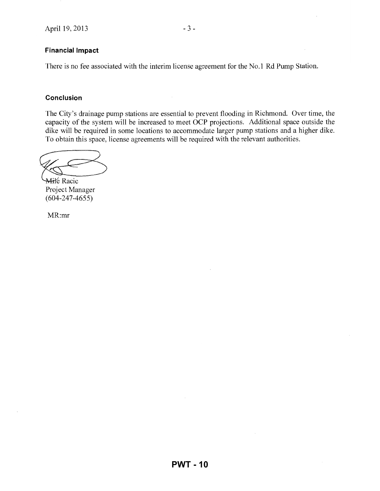#### Financial Impact

There is no fee associated with the interim license agreement for the No.1 Rd Pump Station.

#### **Conclusion**

The City's drainage pump stations are essential to prevent flooding in Richmond. Over time, the capacity of the system will be increased to meet OCP projections. Additional space outside the dike will be required in some locations to accommodate larger pump stations and a higher dike. To obtain this space, license agreements will be required with the relevant authorities. dike will be required in some locations to a<br>To obtain this space, license agreements will<br>Aithe Racic<br>Project Manager

(604-247-4655)

MR:mr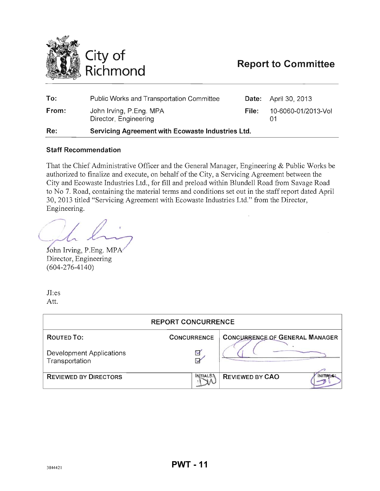<span id="page-10-0"></span>

| To:   | <b>Public Works and Transportation Committee</b>  |       | <b>Date:</b> April 30, 2013 |
|-------|---------------------------------------------------|-------|-----------------------------|
| From: | John Irving, P.Eng. MPA<br>Director, Engineering  | File: | 10-6060-01/2013-Vol         |
| Re:   | Servicing Agreement with Ecowaste Industries Ltd. |       |                             |

#### **Staff Recommendation**

That the Chief Administrative Officer and the General Manager, Engineering & Public Works be authorized to finalize and execute, on behalf of the City, a Servicing Agreement between the City and Ecowaste Industries Ltd., for fill and preload within Blundell Road from Savage Road to No 7. Road, containing the material terms and conditions set out in the staff report dated April 30,2013 titled "Servicing Agreement with Ecowaste Industries Ltd." from the Director, Engineering.

 $\ell_{\sim}$  . Eng. MPA

John Irving, P.Eng. MPA Director, Engineering (604-276-4140)

JI:es Att.

| <b>REPORT CONCURRENCE</b>                  |                              |                                          |  |  |  |
|--------------------------------------------|------------------------------|------------------------------------------|--|--|--|
| ROUTED TO:                                 | <b>CONCURRENCE</b>           | <b>CONCURRENCE OF GENERAL MANAGER</b>    |  |  |  |
| Development Applications<br>Transportation | Ç<br>$\overline{\mathsf{v}}$ |                                          |  |  |  |
| <b>REVIEWED BY DIRECTORS</b>               | <b>NITIALS3</b>              | <b>REVIEWED BY CAO</b><br><b>INITIAL</b> |  |  |  |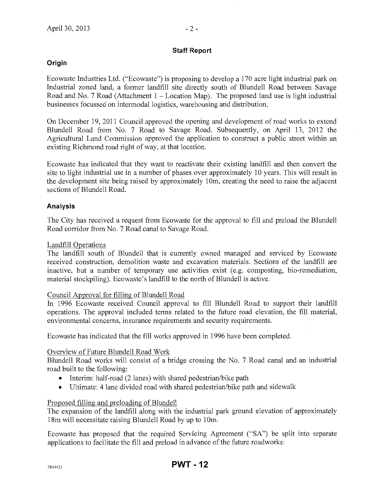#### **Staff Report**

# **Origin**

Ecowaste Industries Ltd. ("Ecowaste") is proposing to develop a 170 acre light industrial park on Industrial zoned land, a former landfill site directly south of Blundell Road between Savage Road and No. 7 Road (Attachment  $1 -$  Location Map). The proposed land use is light industrial businesses focussed on intermodal logistics, warehousing and distribution.

On December 19, 2011 Council approved the opening and development of road works to extend Blundell Road from No. 7 Road to Savage Road. Subsequently, on April 13, 2012 the Agricultural Land Commission approved the application to construct a public street within an existing Richmond road right of way, at that location.

Ecowaste has indicated that they want to reactivate their existing landfill and then convert the site to light industrial use in a number of phases over approximately 10 years. This will result in the development site being raised by approximately 10m, creating the need to raise the adjacent sections of Blundell Road.

# **Analysis**

The City has received a request from Ecowaste for the approval to fill and preload the Blundell Road corridor from No.7 Road canal to Savage Road.

Landfill Operations

The landfill south of Blundell that is currently owned managed and serviced by Ecowaste received construction, demolition waste and excavation materials. Sections of the landfill are inactive, but a number of temporary use activities exist (e.g. composting, bio-remediation, material stockpiling). Ecowaste's landfill to the north of Blundell is active.

# Council Approval for filling of Blundell Road

In 1996 Ecowaste received Council approval to fill Blundell Road to support their landfill operations. The approval included terms related to the future road elevation, the fill material, environmental concerns, insurance requirements and security requirements.

Ecowaste has indicated that the fill works approved in 1996 have been completed.

# Overview of Future Blundell Road Work

Blundell Road works will consist of a bridge crossing the No.7 Road canal and an industrial road built to the following:

- Interim: half-road (2 lanes) with shared pedestrian/bike path
- Ultimate: 4 lane divided road with shared pedestrian/bike path and sidewalk

# Proposed filling and preloading of Blundell

The expansion of the landfill along with the industrial park ground elevation of approximately 18m will necessitate raising Blundell Road by up to 10m.

Ecowaste has proposed that the required Servicing Agreement ("SA") be split into separate applications to facilitate the fill and preload in advance of the future roadworks: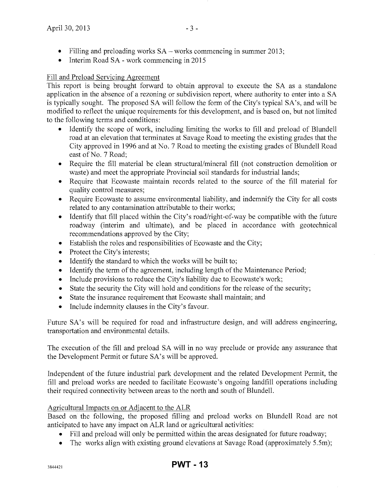- Filling and preloading works  $SA$  works commencing in summer 2013;
- Interim Road SA work commencing in 2015

# Fill and Preload Servicing Agreement

This report is being brought forward to obtain approval to execute the SA as a standalone application in the absence of a rezoning or subdivision report, where authority to enter into a SA is typically sought. The proposed SA will follow the form of the City's typical SA's, and will be modified to reflect the unique requirements for this development, and is based on, but not limited to the following terms and conditions:

- Identify the scope of work, including limiting the works to **fill** and preload of Blundell road at an elevation that terminates at Savage Road to meeting the existing grades that the City approved in 1996 and at No.7 Road to meeting the existing grades of Blundell Road east of No. 7 Road;
- Require the fill material be clean structural/mineral **fill** (not construction demolition or waste) and meet the appropriate Provincial soil standards for industrial lands;
- Require that Ecowaste maintain records related to the source of the fill material for quality control measures;
- Require Ecowaste to assume environmental liability, and indemnify the City for all costs related to any contamination attributable to their works;
- Identify that fill placed within the City's road/right-of-way be compatible with the future roadway (interim and ultimate), and be placed in accordance with geotechnical recommendations approved by the City;
- Establish the roles and responsibilities of Ecowaste and the City;
- Protect the City's interests;
- Identify the standard to which the works will be built to;
- Identify the term of the agreement, including length of the Maintenance Period;
- Include provisions to reduce the City's liability due to Ecowaste's work;
- State the security the City will hold and conditions for the release of the security;
- State the insurance requirement that Ecowaste shall maintain; and
- Include indemnity clauses in the City's favour.

Future SA's will be required for road and infrastructure design, and will address engineering, transportation and environmental details.

The execution of the **fill** and preload SA will in no way preclude or provide any assurance that the Development Permit or future SA's will be approved.

Independent of the future industrial park development and the related Development Permit, the **fill** and preload works are needed to facilitate Ecowaste's ongoing landfill operations including their required connectivity between areas to the north and south of Blundell.

# Agricultural Impacts on or Adjacent to the ALR

Based on the following, the proposed filling and preload works on Blundell Road are not anticipated to have any impact on ALR land or agricultural activities:

- Fill and preload will only be permitted within the areas designated for future roadway;
- The works align with existing ground elevations at Savage Road (approximately 5.5m);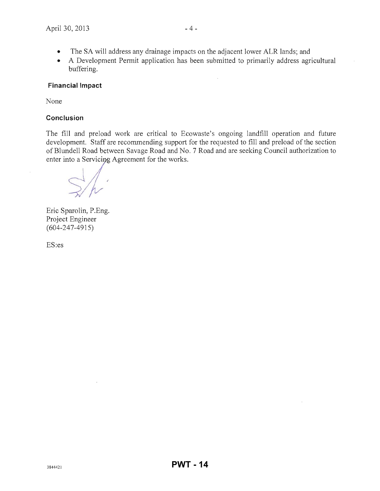- The SA will address any drainage impacts on the adjacent lower ALR lands; and
- A Development Permit application has been submitted to primarily address agricultural buffering.

#### Financial Impact

None

#### **Conclusion**

The fill and preload work are critical to Ecowaste's ongoing landfill operation and future development. Staff are recommending support for the requested to fill and preload of the section of Blundell Road between Savage Road and No. 7 Road and are seeking Council authorization to enter into a Servicing Agreement for the works.

Eric Sparolin, P.Eng. Project Engineer (604-247-4915)

ES:es